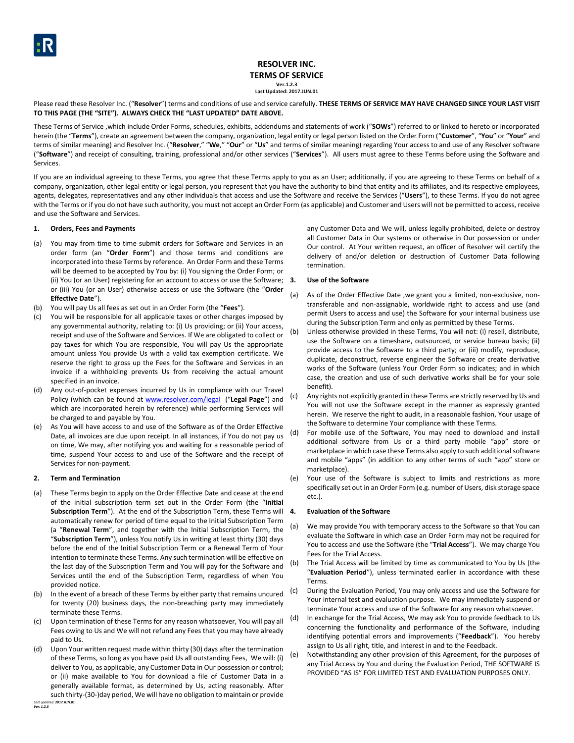## **RESOLVER INC. TERMS OF SERVICE Ver.1.2.3 Last Updated: 2017.JUN.01**

Please read these Resolver Inc. ("Resolver") terms and conditions of use and service carefully. THESE TERMS OF SERVICE MAY HAVE CHANGED SINCE YOUR LAST VISIT **TO THIS PAGE (THE "SITE"). ALWAYS CHECK THE "LAST UPDATED" DATE ABOVE.**

These Terms of Service ,which include Order Forms, schedules, exhibits, addendums and statements of work ("**SOWs**") referred to or linked to hereto or incorporated herein (the "**Terms**"), create an agreement between the company, organization, legal entity or legal person listed on the Order Form ("**Customer**", "**You**" or "**Your**" and terms of similar meaning) and Resolver Inc. ("**Resolver**," "**We**," "**Our**" or "**Us**" and terms of similar meaning) regarding Your access to and use of any Resolver software ("**Software**") and receipt of consulting, training, professional and/or other services ("**Services**"). All users must agree to these Terms before using the Software and Services.

If you are an individual agreeing to these Terms, you agree that these Terms apply to you as an User; additionally, if you are agreeing to these Terms on behalf of a company, organization, other legal entity or legal person, you represent that you have the authority to bind that entity and its affiliates, and its respective employees, agents, delegates, representatives and any other individuals that access and use the Software and receive the Services ("**Users**"), to these Terms. If you do not agree with the Terms or if you do not have such authority, you must not accept an Order Form (as applicable) and Customer and Users will not be permitted to access, receive and use the Software and Services.

## **1. Orders, Fees and Payments**

- (a) You may from time to time submit orders for Software and Services in an order form (an "**Order Form**") and those terms and conditions are incorporated into these Terms by reference. An Order Form and these Terms will be deemed to be accepted by You by: (i) You signing the Order Form; or (ii) You (or an User) registering for an account to access or use the Software; 3. or (iii) You (or an User) otherwise access or use the Software (the "**Order Effective Date**").
- (b) You will pay Us all fees as set out in an Order Form (the "**Fees**").
- (c) You will be responsible for all applicable taxes or other charges imposed by any governmental authority, relating to: (i) Us providing; or (ii) Your access, receipt and use of the Software and Services. If We are obligated to collect or pay taxes for which You are responsible, You will pay Us the appropriate amount unless You provide Us with a valid tax exemption certificate. We reserve the right to gross up the Fees for the Software and Services in an invoice if a withholding prevents Us from receiving the actual amount specified in an invoice.
- (d) Any out-of-pocket expenses incurred by Us in compliance with our Travel Policy (which can be found at [www.resolver.com/legal](http://www.resolver.com/legal) ("**Legal Page**") and which are incorporated herein by reference) while performing Services will be charged to and payable by You.
- (e) As You will have access to and use of the Software as of the Order Effective Date, all invoices are due upon receipt. In all instances, if You do not pay us on time, We may, after notifying you and waiting for a reasonable period of time, suspend Your access to and use of the Software and the receipt of Services for non-payment.

#### **2. Term and Termination**

- (a) These Terms begin to apply on the Order Effective Date and cease at the end of the initial subscription term set out in the Order Form (the "**Initial Subscription Term**"). At the end of the Subscription Term, these Terms will 4. automatically renew for period of time equal to the Initial Subscription Term (a "**Renewal Term**", and together with the Initial Subscription Term, the "**Subscription Term**"), unless You notify Us in writing at least thirty (30) days before the end of the Initial Subscription Term or a Renewal Term of Your intention to terminate these Terms. Any such termination will be effective on the last day of the Subscription Term and You will pay for the Software and Services until the end of the Subscription Term, regardless of when You provided notice.
- (b) In the event of a breach of these Terms by either party that remains uncured for twenty (20) business days, the non-breaching party may immediately terminate these Terms.
- (c) Upon termination of these Terms for any reason whatsoever, You will pay all Fees owing to Us and We will not refund any Fees that you may have already paid to Us.
- *Last updated: 2017.JUN.01* (d) Upon Your written request made within thirty (30) days after the termination of these Terms, so long as you have paid Us all outstanding Fees, We will: (i) deliver to You, as applicable, any Customer Data in Our possession or control; or (ii) make available to You for download a file of Customer Data in a generally available format, as determined by Us, acting reasonably. After such thirty-(30-)day period, We will have no obligation to maintain or provide

any Customer Data and We will, unless legally prohibited, delete or destroy all Customer Data in Our systems or otherwise in Our possession or under Our control. At Your written request, an officer of Resolver will certify the delivery of and/or deletion or destruction of Customer Data following termination.

#### **3. Use of the Software**

- (a) As of the Order Effective Date ,we grant you a limited, non-exclusive, nontransferable and non-assignable, worldwide right to access and use (and permit Users to access and use) the Software for your internal business use during the Subscription Term and only as permitted by these Terms.
- (b) Unless otherwise provided in these Terms, You will not: (i) resell, distribute, use the Software on a timeshare, outsourced, or service bureau basis; (ii) provide access to the Software to a third party; or (iii) modify, reproduce, duplicate, deconstruct, reverse engineer the Software or create derivative works of the Software (unless Your Order Form so indicates; and in which case, the creation and use of such derivative works shall be for your sole benefit).
- (c) Any rights not explicitly granted in these Terms are strictly reserved by Us and You will not use the Software except in the manner as expressly granted herein. We reserve the right to audit, in a reasonable fashion, Your usage of the Software to determine Your compliance with these Terms.
- (d) For mobile use of the Software, You may need to download and install additional software from Us or a third party mobile "app" store or marketplace in which case these Terms also apply to such additional software and mobile "apps" (in addition to any other terms of such "app" store or marketplace).
- (e) Your use of the Software is subject to limits and restrictions as more specifically set out in an Order Form (e.g. number of Users, disk storage space etc.).

#### **4. Evaluation of the Software**

- (a) We may provide You with temporary access to the Software so that You can evaluate the Software in which case an Order Form may not be required for You to access and use the Software (the "**Trial Access**"). We may charge You Fees for the Trial Access.
- (b) The Trial Access will be limited by time as communicated to You by Us (the "**Evaluation Period**"), unless terminated earlier in accordance with these Terms.
- (c) During the Evaluation Period, You may only access and use the Software for Your internal test and evaluation purpose. We may immediately suspend or terminate Your access and use of the Software for any reason whatsoever.
- (d) In exchange for the Trial Access, We may ask You to provide feedback to Us concerning the functionality and performance of the Software, including identifying potential errors and improvements ("**Feedback**"). You hereby assign to Us all right, title, and interest in and to the Feedback.
- (e) Notwithstanding any other provision of this Agreement, for the purposes of any Trial Access by You and during the Evaluation Period, THE SOFTWARE IS PROVIDED "AS IS" FOR LIMITED TEST AND EVALUATION PURPOSES ONLY.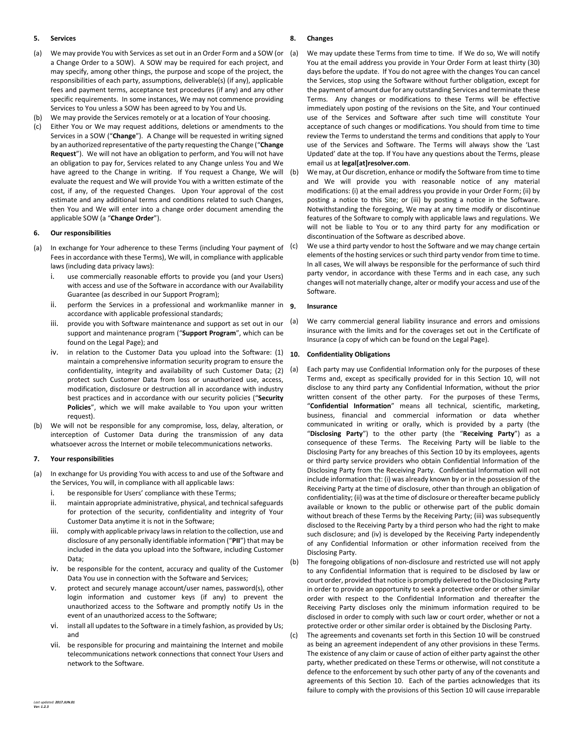## **5. Services**

- (a) We may provide You with Services as set out in an Order Form and a SOW (or a Change Order to a SOW). A SOW may be required for each project, and may specify, among other things, the purpose and scope of the project, the responsibilities of each party, assumptions, deliverable(s) (if any), applicable fees and payment terms, acceptance test procedures (if any) and any other specific requirements. In some instances, We may not commence providing Services to You unless a SOW has been agreed to by You and Us.
- (b) We may provide the Services remotely or at a location of Your choosing.
- (c) Either You or We may request additions, deletions or amendments to the Services in a SOW ("**Change**"). A Change will be requested in writing signed by an authorized representative of the party requesting the Change ("**Change Request**"). We will not have an obligation to perform, and You will not have an obligation to pay for, Services related to any Change unless You and We have agreed to the Change in writing. If You request a Change, We will evaluate the request and We will provide You with a written estimate of the cost, if any, of the requested Changes. Upon Your approval of the cost estimate and any additional terms and conditions related to such Changes, then You and We will enter into a change order document amending the applicable SOW (a "**Change Order**").

## **6. Our responsibilities**

- (a) In exchange for Your adherence to these Terms (including Your payment of Fees in accordance with these Terms), We will, in compliance with applicable laws (including data privacy laws):
	- i. use commercially reasonable efforts to provide you (and your Users) with access and use of the Software in accordance with our Availability Guarantee (as described in our Support Program);
	- ii. perform the Services in a professional and workmanlike manner in  $g$ . accordance with applicable professional standards;
	- iii. provide you with Software maintenance and support as set out in our support and maintenance program ("**Support Program**", which can be found on the Legal Page); and
	- iv. in relation to the Customer Data you upload into the Software: (1) maintain a comprehensive information security program to ensure the confidentiality, integrity and availability of such Customer Data; (2) protect such Customer Data from loss or unauthorized use, access, modification, disclosure or destruction all in accordance with industry best practices and in accordance with our security policies ("**Security Policies**", which we will make available to You upon your written request).
- (b) We will not be responsible for any compromise, loss, delay, alteration, or interception of Customer Data during the transmission of any data whatsoever across the Internet or mobile telecommunications networks.

## **7. Your responsibilities**

- (a) In exchange for Us providing You with access to and use of the Software and the Services, You will, in compliance with all applicable laws:
	- i. be responsible for Users' compliance with these Terms;
	- ii. maintain appropriate administrative, physical, and technical safeguards for protection of the security, confidentiality and integrity of Your Customer Data anytime it is not in the Software;
	- iii. comply with applicable privacy laws in relation to the collection, use and disclosure of any personally identifiable information ("**PII**") that may be included in the data you upload into the Software, including Customer Data;
	- iv. be responsible for the content, accuracy and quality of the Customer Data You use in connection with the Software and Services;
	- v. protect and securely manage account/user names, password(s), other login information and customer keys (if any) to prevent the unauthorized access to the Software and promptly notify Us in the event of an unauthorized access to the Software;
	- vi. install all updates to the Software in a timely fashion, as provided by Us; and
	- vii. be responsible for procuring and maintaining the Internet and mobile telecommunications network connections that connect Your Users and network to the Software.

## **8. Changes**

- (a) We may update these Terms from time to time. If We do so, We will notify You at the email address you provide in Your Order Form at least thirty (30) days before the update. If You do not agree with the changes You can cancel the Services, stop using the Software without further obligation, except for the payment of amount due for any outstanding Services and terminate these Terms. Any changes or modifications to these Terms will be effective immediately upon posting of the revisions on the Site, and Your continued use of the Services and Software after such time will constitute Your acceptance of such changes or modifications. You should from time to time review the Terms to understand the terms and conditions that apply to Your use of the Services and Software. The Terms will always show the 'Last Updated' date at the top. If You have any questions about the Terms, please email us at **legal[at]resolver.com**.
	- We may, at Our discretion, enhance or modify the Software from time to time and We will provide you with reasonable notice of any material modifications: (i) at the email address you provide in your Order Form; (ii) by posting a notice to this Site; or (iii) by posting a notice in the Software. Notwithstanding the foregoing, We may at any time modify or discontinue features of the Software to comply with applicable laws and regulations. We will not be liable to You or to any third party for any modification or discontinuation of the Software as described above.
- (c) We use a third party vendor to host the Software and we may change certain elements of the hosting services or such third party vendor from time to time. In all cases, We will always be responsible for the performance of such third party vendor, in accordance with these Terms and in each case, any such changes will not materially change, alter or modify your access and use of the Software.

## **9. Insurance**

(a) We carry commercial general liability insurance and errors and omissions insurance with the limits and for the coverages set out in the Certificate of Insurance (a copy of which can be found on the Legal Page).

# <span id="page-1-0"></span>**10. Confidentiality Obligations**

- (a) Each party may use Confidential Information only for the purposes of these Terms and, except as specifically provided for in this Section [10,](#page-1-0) will not disclose to any third party any Confidential Information, without the prior written consent of the other party. For the purposes of these Terms, "**Confidential Information**" means all technical, scientific, marketing, business, financial and commercial information or data whether communicated in writing or orally, which is provided by a party (the "**Disclosing Party**") to the other party (the "**Receiving Party**") as a consequence of these Terms. The Receiving Party will be liable to the Disclosing Party for any breaches of this Sectio[n 10](#page-1-0) by its employees, agents or third party service providers who obtain Confidential Information of the Disclosing Party from the Receiving Party. Confidential Information will not include information that: (i) was already known by or in the possession of the Receiving Party at the time of disclosure, other than through an obligation of confidentiality; (ii) was at the time of disclosure or thereafter became publicly available or known to the public or otherwise part of the public domain without breach of these Terms by the Receiving Party; (iii) was subsequently disclosed to the Receiving Party by a third person who had the right to make such disclosure; and (iv) is developed by the Receiving Party independently of any Confidential Information or other information received from the Disclosing Party.
- (b) The foregoing obligations of non-disclosure and restricted use will not apply to any Confidential Information that is required to be disclosed by law or court order, provided that notice is promptly delivered to the Disclosing Party in order to provide an opportunity to seek a protective order or other similar order with respect to the Confidential Information and thereafter the Receiving Party discloses only the minimum information required to be disclosed in order to comply with such law or court order, whether or not a protective order or other similar order is obtained by the Disclosing Party.
- (c) The agreements and covenants set forth in this Sectio[n 10](#page-1-0) will be construed as being an agreement independent of any other provisions in these Terms. The existence of any claim or cause of action of either party against the other party, whether predicated on these Terms or otherwise, will not constitute a defence to the enforcement by such other party of any of the covenants and agreements of this Section [10.](#page-1-0) Each of the parties acknowledges that its failure to comply with the provisions of this Sectio[n 10](#page-1-0) will cause irreparable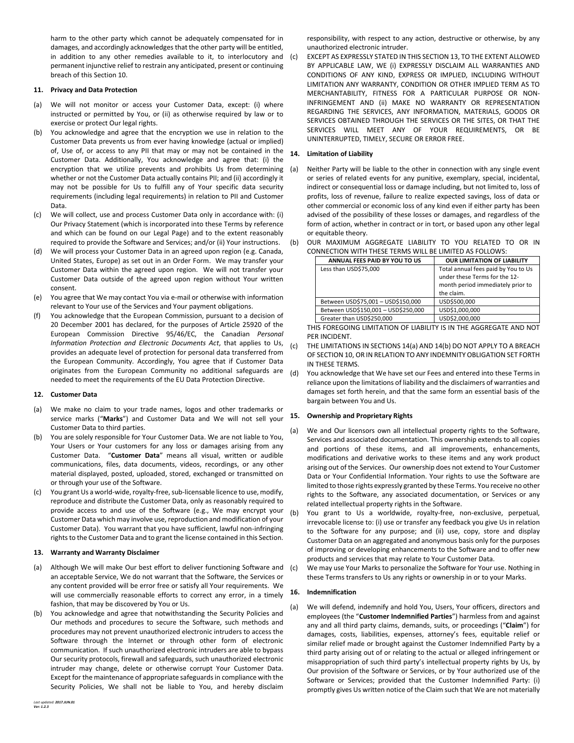harm to the other party which cannot be adequately compensated for in damages, and accordingly acknowledges that the other party will be entitled, in addition to any other remedies available to it, to interlocutory and permanent injunctive relief to restrain any anticipated, present or continuing breach of this Sectio[n 10.](#page-1-0)

## **11. Privacy and Data Protection**

- (a) We will not monitor or access your Customer Data, except: (i) where instructed or permitted by You, or (ii) as otherwise required by law or to exercise or protect Our legal rights.
- (b) You acknowledge and agree that the encryption we use in relation to the Customer Data prevents us from ever having knowledge (actual or implied) of, Use of, or access to any PII that may or may not be contained in the  $14$ . Customer Data. Additionally, You acknowledge and agree that: (i) the encryption that we utilize prevents and prohibits Us from determining whether or not the Customer Data actually contains PII; and (ii) accordingly it may not be possible for Us to fulfill any of Your specific data security requirements (including legal requirements) in relation to PII and Customer Data.
- (c) We will collect, use and process Customer Data only in accordance with: (i) Our Privacy Statement (which is incorporated into these Terms by reference and which can be found on our Legal Page) and to the extent reasonably required to provide the Software and Services; and/or (ii) Your instructions.
- (d) We will process your Customer Data in an agreed upon region (e.g. Canada, United States, Europe) as set out in an Order Form. We may transfer your Customer Data within the agreed upon region. We will not transfer your Customer Data outside of the agreed upon region without Your written consent.
- (e) You agree that We may contact You via e-mail or otherwise with information relevant to Your use of the Services and Your payment obligations.
- (f) You acknowledge that the European Commission, pursuant to a decision of 20 December 2001 has declared, for the purposes of Article 25920 of the European Commission Directive 95/46/EC, the Canadian *Personal Information Protection and Electronic Documents Act*, that applies to Us, provides an adequate level of protection for personal data transferred from the European Community. Accordingly, You agree that if Customer Data originates from the European Community no additional safeguards are needed to meet the requirements of the EU Data Protection Directive.

# **12. Customer Data**

- (a) We make no claim to your trade names, logos and other trademarks or service marks ("**Marks**") and Customer Data and We will not sell your **15. Ownership and Proprietary Rights** Customer Data to third parties.
- (b) You are solely responsible for Your Customer Data. We are not liable to You, Your Users or Your customers for any loss or damages arising from any Customer Data. "**Customer Data**" means all visual, written or audible communications, files, data documents, videos, recordings, or any other material displayed, posted, uploaded, stored, exchanged or transmitted on or through your use of the Software.
- You grant Us a world-wide, royalty-free, sub-licensable licence to use, modify, reproduce and distribute the Customer Data, only as reasonably required to provide access to and use of the Software (e.g., We may encrypt your Customer Data which may involve use, reproduction and modification of your Customer Data). You warrant that you have sufficient, lawful non-infringing rights to the Customer Data and to grant the license contained in this Section.

# <span id="page-2-0"></span>**13. Warranty and Warranty Disclaimer**

- (a) Although We will make Our best effort to deliver functioning Software and an acceptable Service, We do not warrant that the Software, the Services or any content provided will be error free or satisfy all Your requirements. We will use commercially reasonable efforts to correct any error, in a timely fashion, that may be discovered by You or Us.
- (b) You acknowledge and agree that notwithstanding the Security Policies and Our methods and procedures to secure the Software, such methods and procedures may not prevent unauthorized electronic intruders to access the Software through the Internet or through other form of electronic communication. If such unauthorized electronic intruders are able to bypass Our security protocols, firewall and safeguards, such unauthorized electronic intruder may change, delete or otherwise corrupt Your Customer Data. Except for the maintenance of appropriate safeguards in compliance with the Security Policies, We shall not be liable to You, and hereby disclaim

responsibility, with respect to any action, destructive or otherwise, by any unauthorized electronic intruder.

(c) EXCEPT AS EXPRESSLY STATED IN THIS SECTIO[N 13,](#page-2-0) TO THE EXTENT ALLOWED BY APPLICABLE LAW, WE (i) EXPRESSLY DISCLAIM ALL WARRANTIES AND CONDITIONS OF ANY KIND, EXPRESS OR IMPLIED, INCLUDING WITHOUT LIMITATION ANY WARRANTY, CONDITION OR OTHER IMPLIED TERM AS TO MERCHANTABILITY, FITNESS FOR A PARTICULAR PURPOSE OR NON-INFRINGEMENT AND (ii) MAKE NO WARRANTY OR REPRESENTATION REGARDING THE SERVICES, ANY INFORMATION, MATERIALS, GOODS OR SERVICES OBTAINED THROUGH THE SERVICES OR THE SITES, OR THAT THE SERVICES WILL MEET ANY OF YOUR REQUIREMENTS, OR BE UNINTERRUPTED, TIMELY, SECURE OR ERROR FREE.

## **14. Limitation of Liability**

- <span id="page-2-1"></span>(a) Neither Party will be liable to the other in connection with any single event or series of related events for any punitive, exemplary, special, incidental, indirect or consequential loss or damage including, but not limited to, loss of profits, loss of revenue, failure to realize expected savings, loss of data or other commercial or economic loss of any kind even if either party has been advised of the possibility of these losses or damages, and regardless of the form of action, whether in contract or in tort, or based upon any other legal or equitable theory.
- <span id="page-2-2"></span>(b) OUR MAXIMUM AGGREGATE LIABILITY TO YOU RELATED TO OR IN CONNECTION WITH THESE TERMS WILL BE LIMITED AS FOLLOWS:

| ANNUAL FEES PAID BY YOU TO US       | <b>OUR LIMITATION OF LIABILITY</b>  |
|-------------------------------------|-------------------------------------|
| Less than USD\$75,000               | Total annual fees paid by You to Us |
|                                     | under these Terms for the 12-       |
|                                     | month period immediately prior to   |
|                                     | the claim.                          |
| Between USD\$75,001 - USD\$150,000  | USD\$500.000                        |
| Between USD\$150,001 - USD\$250,000 | USD\$1,000,000                      |
| Greater than USD\$250,000           | USD\$2,000,000                      |

THIS FOREGOING LIMITATION OF LIABILITY IS IN THE AGGREGATE AND NOT PER INCIDENT.

- (c) THE LIMITATIONS IN SECTION[S 14\(a\)](#page-2-1) AND [14\(b\)](#page-2-2) DO NOT APPLY TO A BREACH OF SECTIO[N 10,](#page-1-0) OR IN RELATION TO ANY INDEMNITY OBLIGATION SET FORTH IN THESE TERMS.
- (d) You acknowledge that We have set our Fees and entered into these Terms in reliance upon the limitations of liability and the disclaimers of warranties and damages set forth herein, and that the same form an essential basis of the bargain between You and Us.

- (a) We and Our licensors own all intellectual property rights to the Software, Services and associated documentation. This ownership extends to all copies and portions of these items, and all improvements, enhancements, modifications and derivative works to these items and any work product arising out of the Services. Our ownership does not extend to Your Customer Data or Your Confidential Information. Your rights to use the Software are limited to those rights expressly granted by these Terms. You receive no other rights to the Software, any associated documentation, or Services or any related intellectual property rights in the Software.
- (b) You grant to Us a worldwide, royalty-free, non-exclusive, perpetual, irrevocable license to: (i) use or transfer any feedback you give Us in relation to the Software for any purpose; and (ii) use, copy, store and display Customer Data on an aggregated and anonymous basis only for the purposes of improving or developing enhancements to the Software and to offer new products and services that may relate to Your Customer Data.
- We may use Your Marks to personalize the Software for Your use. Nothing in these Terms transfers to Us any rights or ownership in or to your Marks.

#### **16. Indemnification**

(a) We will defend, indemnify and hold You, Users, Your officers, directors and employees (the "**Customer Indemnified Parties**") harmless from and against any and all third party claims, demands, suits, or proceedings ("**Claim**") for damages, costs, liabilities, expenses, attorney's fees, equitable relief or similar relief made or brought against the Customer Indemnified Party by a third party arising out of or relating to the actual or alleged infringement or misappropriation of such third party's intellectual property rights by Us, by Our provision of the Software or Services, or by Your authorized use of the Software or Services; provided that the Customer Indemnified Party: (i) promptly gives Us written notice of the Claim such that We are not materially